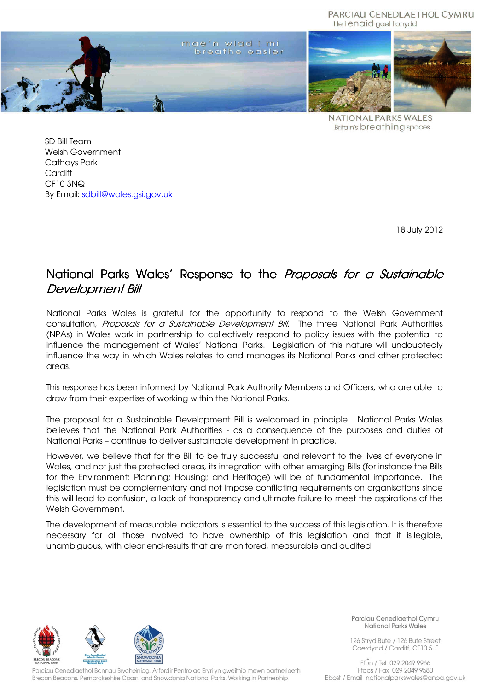PARCIAU CENEDLAETHOL CYMRU Lle i enaid gael llonydd



**NATIONAL PARKS WALES Britain's breathing spaces** 

SD Bill Team Welsh Government Cathays Park **Cardiff** CF10 3NQ By Email: sdbill@wales.gsi.gov.uk

18 July 2012

# National Parks Wales' Response to the *Proposals for a Sustainable* Development Bill

National Parks Wales is grateful for the opportunity to respond to the Welsh Government consultation, Proposals for a Sustainable Development Bill. The three National Park Authorities (NPAs) in Wales work in partnership to collectively respond to policy issues with the potential to influence the management of Wales' National Parks. Legislation of this nature will undoubtedly influence the way in which Wales relates to and manages its National Parks and other protected areas.

This response has been informed by National Park Authority Members and Officers, who are able to draw from their expertise of working within the National Parks.

The proposal for a Sustainable Development Bill is welcomed in principle. National Parks Wales believes that the National Park Authorities - as a consequence of the purposes and duties of National Parks – continue to deliver sustainable development in practice.

However, we believe that for the Bill to be truly successful and relevant to the lives of everyone in Wales, and not just the protected areas, its integration with other emerging Bills (for instance the Bills for the Environment; Planning; Housing; and Heritage) will be of fundamental importance. The legislation must be complementary and not impose conflicting requirements on organisations since this will lead to confusion, a lack of transparency and ultimate failure to meet the aspirations of the Welsh Government.

The development of measurable indicators is essential to the success of this legislation. It is therefore necessary for all those involved to have ownership of this legislation and that it is legible, unambiguous, with clear end-results that are monitored, measurable and audited.



Parciau Cenedlaethol Bannau Brycheiniog, Arfordir Penfro ac Eryri yn gweithio mewn partneriaeth Brecon Beacons, Pembrokeshire Coast, and Snowdonia National Parks. Working in Partnership.

Parciau Cenedlaethol Cymru National Parks Wales

126 Stryd Bute / 126 Bute Street Caerdydd / Cardiff, CF10 5LE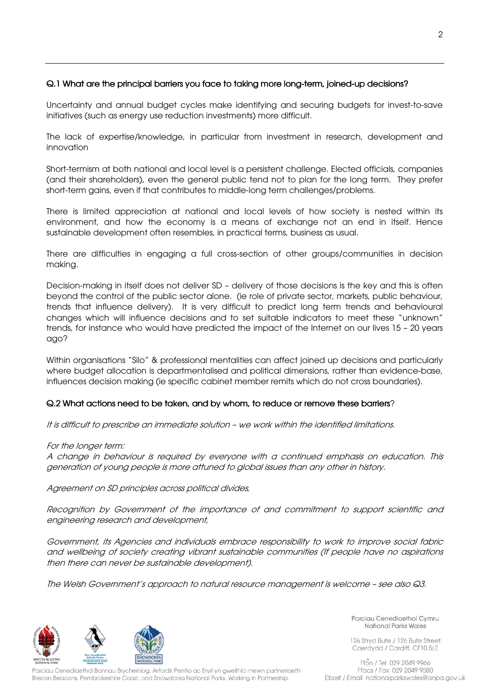# Q.1 What are the principal barriers you face to taking more long-term, joined-up decisions?

Uncertainty and annual budget cycles make identifying and securing budgets for invest-to-save initiatives (such as energy use reduction investments) more difficult.

The lack of expertise/knowledge, in particular from investment in research, development and innovation

Short-termism at both national and local level is a persistent challenge. Elected officials, companies (and their shareholders), even the general public tend not to plan for the long term. They prefer short-term gains, even if that contributes to middle-long term challenges/problems.

There is limited appreciation at national and local levels of how society is nested within its environment, and how the economy is a means of exchange not an end in itself. Hence sustainable development often resembles, in practical terms, business as usual.

There are difficulties in engaging a full cross-section of other groups/communities in decision making.

Decision-making in itself does not deliver SD – delivery of those decisions is the key and this is often beyond the control of the public sector alone. (ie role of private sector, markets, public behaviour, trends that influence delivery). It is very difficult to predict long term trends and behavioural changes which will influence decisions and to set suitable indicators to meet these "unknown" trends, for instance who would have predicted the impact of the Internet on our lives 15 – 20 years ago?

Within organisations "Silo" & professional mentalities can affect joined up decisions and particularly where budget allocation is departmentalised and political dimensions, rather than evidence-base, influences decision making (ie specific cabinet member remits which do not cross boundaries).

### Q.2 What actions need to be taken, and by whom, to reduce or remove these barriers?

It is difficult to prescribe an immediate solution – we work within the identified limitations.

### For the longer term:

A change in behaviour is required by everyone with a continued emphasis on education. This generation of young people is more attuned to global issues than any other in history.

Agreement on SD principles across political divides,

Recognition by Government of the importance of and commitment to support scientific and engineering research and development,

Government, its Agencies and individuals embrace responsibility to work to improve social fabric and wellbeing of society creating vibrant sustainable communities (If people have no aspirations then there can never be sustainable development).

The Welsh Government's approach to natural resource management is welcome – see also Q3.



Parciau Cenedlaethol Bannau Brycheiniog, Arfordir Penfro ac Eryri yn gweithio mewn partneriaeth Brecon Beacons, Pembrokeshire Coast, and Snowdonia National Parks. Working in Partnership.

Parciau Cenedlaethol Cymru National Parks Wales

126 Stryd Bute / 126 Bute Street Caerdydd / Cardiff, CF10 5LE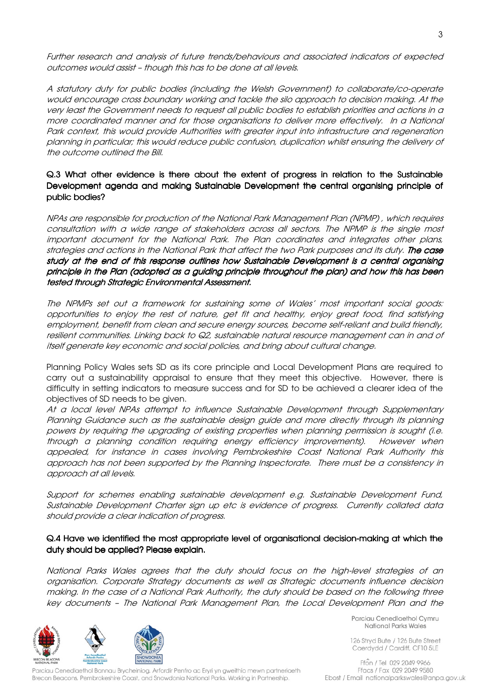Further research and analysis of future trends/behaviours and associated indicators of expected outcomes would assist – though this has to be done at all levels.

A statutory duty for public bodies (including the Welsh Government) to collaborate/co-operate would encourage cross boundary working and tackle the silo approach to decision making. At the very least the Government needs to request all public bodies to establish priorities and actions in a more coordinated manner and for those organisations to deliver more effectively. In a National Park context, this would provide Authorities with greater input into infrastructure and regeneration planning in particular; this would reduce public confusion, duplication whilst ensuring the delivery of the outcome outlined the Bill.

# Q.3 What other evidence is there about the extent of progress in relation to the Sustainable Development agenda and making Sustainable Development the central organising principle of public bodies?

NPAs are responsible for production of the National Park Management Plan (NPMP) , which requires consultation with a wide range of stakeholders across all sectors. The NPMP is the single most important document for the National Park. The Plan coordinates and integrates other plans, strategies and actions in the National Park that affect the two Park purposes and its duty. The case study at the end of this response outlines how Sustainable Development is a central organising principle in the Plan (adopted as a guiding principle throughout the plan) and how this has been tested through Strategic Environmental Assessment.

The NPMPs set out a framework for sustaining some of Wales' most important social goods: opportunities to enjoy the rest of nature, get fit and healthy, enjoy great food, find satisfying employment, benefit from clean and secure energy sources, become self-reliant and build friendly, resilient communities. Linking back to Q2, sustainable natural resource management can in and of itself generate key economic and social policies, and bring about cultural change.

Planning Policy Wales sets SD as its core principle and Local Development Plans are required to carry out a sustainability appraisal to ensure that they meet this objective. However, there is difficulty in setting indicators to measure success and for SD to be achieved a clearer idea of the objectives of SD needs to be given.

At a local level NPAs attempt to influence Sustainable Development through Supplementary Planning Guidance such as the sustainable design guide and more directly through its planning powers by requiring the upgrading of existing properties when planning permission is sought (i.e. through a planning condition requiring energy efficiency improvements). However when appealed, for instance in cases involving Pembrokeshire Coast National Park Authority this approach has not been supported by the Planning Inspectorate. There must be a consistency in approach at all levels.

Support for schemes enabling sustainable development e.g. Sustainable Development Fund, Sustainable Development Charter sign up etc is evidence of progress. Currently collated data should provide a clear indication of progress.

#### Q.4 Have we identified the most appropriate level of organisational decision-making at which the duty should be applied? Please explain.

National Parks Wales agrees that the duty should focus on the high-level strategies of an organisation. Corporate Strategy documents as well as Strategic documents influence decision making. In the case of a National Park Authority, the duty should be based on the following three key documents – The National Park Management Plan, the Local Development Plan and the



Parciau Cenedlaethol Bannau Brycheiniog, Arfordir Penfro ac Eryri yn gweithio mewn partneriaeth Brecon Beacons, Pembrokeshire Coast, and Snowdonia National Parks. Working in Partnership.

Parciau Cenedlaethol Cymru National Parks Wales

126 Stryd Bute / 126 Bute Street Caerdydd / Cardiff, CF10 5LE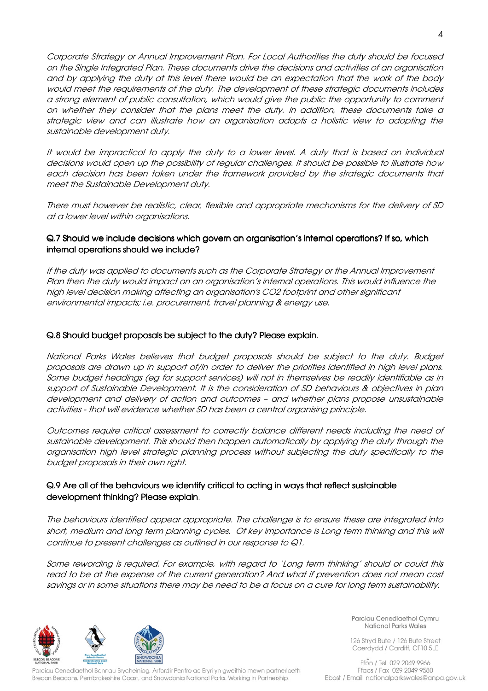Corporate Strategy or Annual Improvement Plan. For Local Authorities the duty should be focused on the Single Integrated Plan. These documents drive the decisions and activities of an organisation and by applying the duty at this level there would be an expectation that the work of the body would meet the requirements of the duty. The development of these strategic documents includes a strong element of public consultation, which would give the public the opportunity to comment on whether they consider that the plans meet the duty. In addition, these documents take a strategic view and can illustrate how an organisation adopts a holistic view to adopting the sustainable development duty.

It would be impractical to apply the duty to a lower level. A duty that is based on individual decisions would open up the possibility of regular challenges. It should be possible to illustrate how each decision has been taken under the framework provided by the strategic documents that meet the Sustainable Development duty.

There must however be realistic, clear, flexible and appropriate mechanisms for the delivery of SD at a lower level within organisations.

# Q.7 Should we include decisions which govern an organisation's internal operations? If so, which internal operations should we include?

If the duty was applied to documents such as the Corporate Strategy or the Annual Improvement Plan then the duty would impact on an organisation's internal operations. This would influence the high level decision making affecting an organisation's CO2 footprint and other significant environmental impacts; i.e. procurement, travel planning & energy use.

# Q.8 Should budget proposals be subject to the duty? Please explain.

National Parks Wales believes that budget proposals should be subject to the duty. Budget proposals are drawn up in support of/in order to deliver the priorities identified in high level plans. Some budget headings (eg for support services) will not in themselves be readily identifiable as in support of Sustainable Development. It is the consideration of SD behaviours & objectives in plan development and delivery of action and outcomes – and whether plans propose unsustainable activities - that will evidence whether SD has been a central organising principle.

Outcomes require critical assessment to correctly balance different needs including the need of sustainable development. This should then happen automatically by applying the duty through the organisation high level strategic planning process without subjecting the duty specifically to the budget proposals in their own right.

# Q.9 Are all of the behaviours we identify critical to acting in ways that reflect sustainable development thinking? Please explain.

The behaviours identified appear appropriate. The challenge is to ensure these are integrated into short, medium and long term planning cycles. Of key importance is Long term thinking and this will continue to present challenges as outlined in our response to Q1.

Some rewording is required. For example, with regard to 'Long term thinking' should or could this read to be at the expense of the current generation? And what if prevention does not mean cost savings or in some situations there may be need to be a focus on a cure for long term sustainability.



Parciau Cenedlaethol Bannau Brycheiniog, Arfordir Penfro ac Eryri yn gweithio mewn partneriaeth Brecon Beacons, Pembrokeshire Coast, and Snowdonia National Parks. Working in Partnership.

Parciau Cenedlaethol Cymru National Parks Wales

126 Stryd Bute / 126 Bute Street Caerdydd / Cardiff, CF10 5LE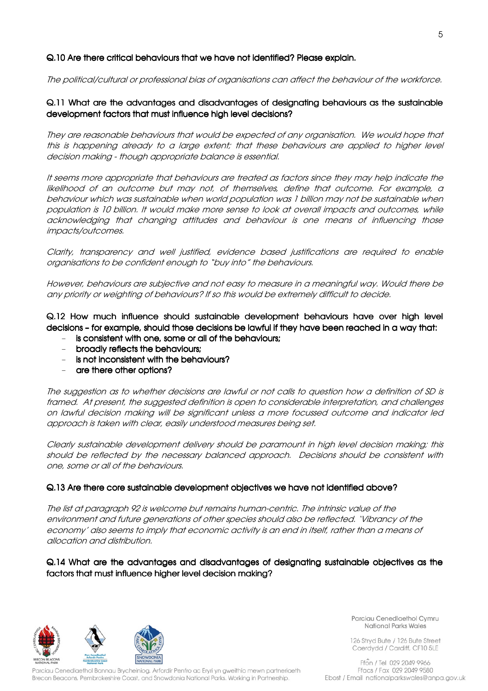#### Q.10 Are there critical behaviours that we have not identified? Please explain.

The political/cultural or professional bias of organisations can affect the behaviour of the workforce.

### Q.11 What are the advantages and disadvantages of designating behaviours as the sustainable development factors that must influence high level decisions?

They are reasonable behaviours that would be expected of any organisation. We would hope that this is happening already to a large extent; that these behaviours are applied to higher level decision making - though appropriate balance is essential.

It seems more appropriate that behaviours are treated as factors since they may help indicate the likelihood of an outcome but may not, of themselves, define that outcome. For example, a behaviour which was sustainable when world population was 1 billion may not be sustainable when population is 10 billion. It would make more sense to look at overall impacts and outcomes, while acknowledging that changing attitudes and behaviour is one means of influencing those impacts/outcomes.

Clarity, transparency and well justified, evidence based justifications are required to enable organisations to be confident enough to "buy into" the behaviours.

However, behaviours are subjective and not easy to measure in a meaningful way. Would there be any priority or weighting of behaviours? If so this would be extremely difficult to decide.

Q.12 How much influence should sustainable development behaviours have over high level decisions – for example, should those decisions be lawful if they have been reached in a way that:

- is consistent with one, some or all of the behaviours;
- broadly reflects the behaviours;
- is not inconsistent with the behaviours?
- $-$  are there other options?

The suggestion as to whether decisions are lawful or not calls to question how a definition of SD is framed. At present, the suggested definition is open to considerable interpretation, and challenges on lawful decision making will be significant unless a more focussed outcome and indicator led approach is taken with clear, easily understood measures being set.

Clearly sustainable development delivery should be paramount in high level decision making; this should be reflected by the necessary balanced approach. Decisions should be consistent with one, some or all of the behaviours.

#### Q.13 Are there core sustainable development objectives we have not identified above?

The list at paragraph 92 is welcome but remains human-centric. The intrinsic value of the environment and future generations of other species should also be reflected. 'Vibrancy of the economy' also seems to imply that economic activity is an end in itself, rather than a means of allocation and distribution.

Q.14 What are the advantages and disadvantages of designating sustainable objectives as the factors that must influence higher level decision making?



Parciau Cenedlaethol Bannau Brycheiniog, Arfordir Penfro ac Eryri yn gweithio mewn partneriaeth Brecon Beacons, Pembrokeshire Coast, and Snowdonia National Parks. Working in Partnership.

Parciau Cenedlaethol Cymru National Parks Wales

126 Stryd Bute / 126 Bute Street Caerdydd / Cardiff, CF10 5LE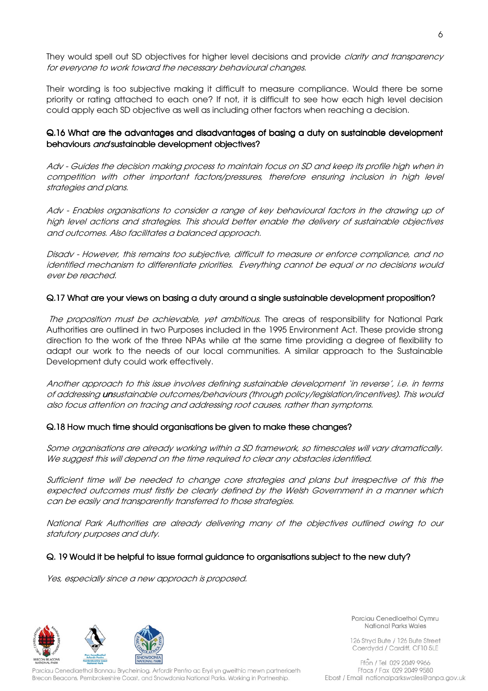They would spell out SD objectives for higher level decisions and provide *clarity and transparency* for everyone to work toward the necessary behavioural changes.

Their wording is too subjective making it difficult to measure compliance. Would there be some priority or rating attached to each one? If not, it is difficult to see how each high level decision could apply each SD objective as well as including other factors when reaching a decision.

# Q.16 What are the advantages and disadvantages of basing a duty on sustainable development behaviours and sustainable development objectives?

Adv - Guides the decision making process to maintain focus on SD and keep its profile high when in competition with other important factors/pressures, therefore ensuring inclusion in high level strategies and plans.

Adv - Enables organisations to consider a range of key behavioural factors in the drawing up of high level actions and strategies. This should better enable the delivery of sustainable objectives and outcomes. Also facilitates a balanced approach.

Disadv - However, this remains too subjective, difficult to measure or enforce compliance, and no identified mechanism to differentiate priorities. Everything cannot be equal or no decisions would ever be reached.

### Q.17 What are your views on basing a duty around a single sustainable development proposition?

The proposition must be achievable, yet ambitious. The areas of responsibility for National Park Authorities are outlined in two Purposes included in the 1995 Environment Act. These provide strong direction to the work of the three NPAs while at the same time providing a degree of flexibility to adapt our work to the needs of our local communities. A similar approach to the Sustainable Development duty could work effectively.

Another approach to this issue involves defining sustainable development 'in reverse', i.e. in terms of addressing unsustainable outcomes/behaviours (through policy/legislation/incentives). This would also focus attention on tracing and addressing root causes, rather than symptoms.

### Q.18 How much time should organisations be given to make these changes?

Some organisations are already working within a SD framework, so timescales will vary dramatically. We suggest this will depend on the time required to clear any obstacles identified.

Sufficient time will be needed to change core strategies and plans but irrespective of this the expected outcomes must firstly be clearly defined by the Welsh Government in a manner which can be easily and transparently transferred to those strategies.

National Park Authorities are already delivering many of the objectives outlined owing to our statutory purposes and duty.

### Q. 19 Would it be helpful to issue formal guidance to organisations subject to the new duty?

Yes, especially since a new approach is proposed.



Parciau Cenedlaethol Bannau Brycheiniog, Arfordir Penfro ac Eryri yn gweithio mewn partneriaeth Brecon Beacons, Pembrokeshire Coast, and Snowdonia National Parks. Working in Partnership.

Parciau Cenedlaethol Cymru National Parks Wales

126 Stryd Bute / 126 Bute Street Caerdydd / Cardiff, CF10 5LE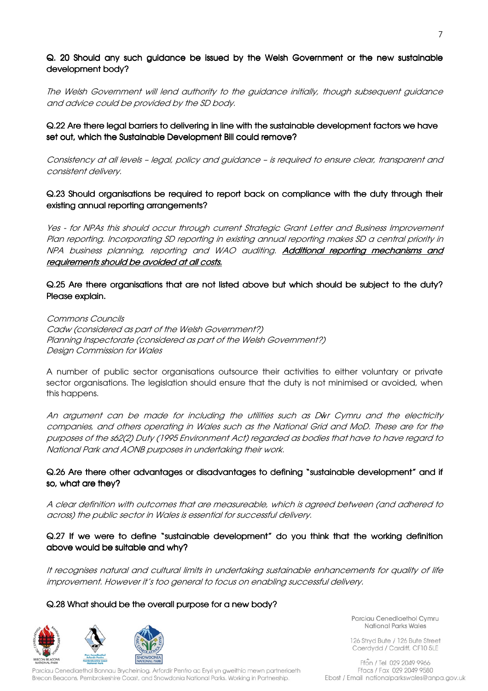# Q. 20 Should any such guidance be issued by the Welsh Government or the new sustainable development body?

The Welsh Government will lend authority to the guidance initially, though subsequent guidance and advice could be provided by the SD body.

# Q.22 Are there legal barriers to delivering in line with the sustainable development factors we have set out, which the Sustainable Development Bill could remove?

Consistency at all levels – legal, policy and guidance – is required to ensure clear, transparent and consistent delivery.

# Q.23 Should organisations be required to report back on compliance with the duty through their existing annual reporting arrangements?

Yes - for NPAs this should occur through current Strategic Grant Letter and Business Improvement Plan reporting. Incorporating SD reporting in existing annual reporting makes SD a central priority in NPA business planning, reporting and WAO auditing. Additional reporting mechanisms and requirements should be avoided at all costs.

# Q.25 Are there organisations that are not listed above but which should be subject to the duty? Please explain.

Commons Councils Cadw (considered as part of the Welsh Government?) Planning Inspectorate (considered as part of the Welsh Government?) Design Commission for Wales

A number of public sector organisations outsource their activities to either voluntary or private sector organisations. The legislation should ensure that the duty is not minimised or avoided, when this happens.

An argument can be made for including the utilities such as Dŵr Cymru and the electricity companies, and others operating in Wales such as the National Grid and MoD. These are for the purposes of the s62(2) Duty (1995 Environment Act) regarded as bodies that have to have regard to National Park and AONB purposes in undertaking their work.

### Q.26 Are there other advantages or disadvantages to defining "sustainable development" and if so, what are they?

A clear definition with outcomes that are measureable, which is agreed between (and adhered to across) the public sector in Wales is essential for successful delivery.

# Q.27 If we were to define "sustainable development" do you think that the working definition above would be suitable and why?

It recognises natural and cultural limits in undertaking sustainable enhancements for quality of life improvement. However it's too general to focus on enabling successful delivery.

### Q.28 What should be the overall purpose for a new body?



Parciau Cenedlaethol Bannau Brycheiniog, Arfordir Penfro ac Eryri yn gweithio mewn partneriaeth Brecon Beacons, Pembrokeshire Coast, and Snowdonia National Parks. Working in Partnership.

Parciau Cenedlaethol Cymru National Parks Wales

126 Stryd Bute / 126 Bute Street Caerdydd / Cardiff, CF10 5LE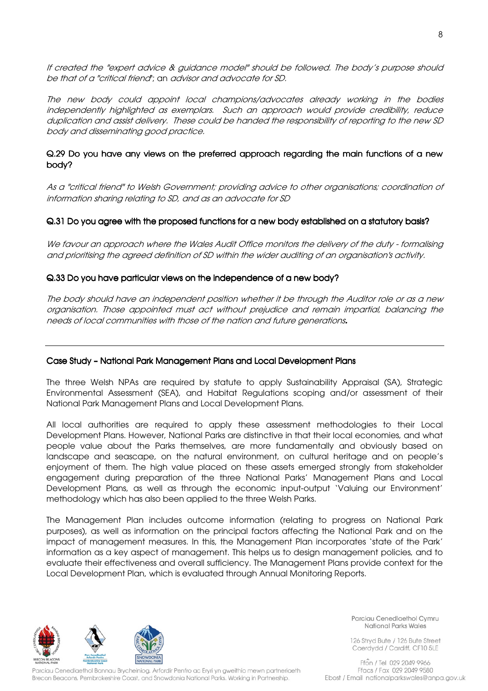If created the "expert advice & guidance model" should be followed. The body's purpose should be that of a "critical friend"; an advisor and advocate for SD.

The new body could appoint local champions/advocates already working in the bodies independently highlighted as exemplars. Such an approach would provide credibility, reduce duplication and assist delivery. These could be handed the responsibility of reporting to the new SD body and disseminating good practice.

### Q.29 Do you have any views on the preferred approach regarding the main functions of a new body?

As a "critical friend" to Welsh Government; providing advice to other organisations; coordination of information sharing relating to SD, and as an advocate for SD

#### Q.31 Do you agree with the proposed functions for a new body established on a statutory basis?

We favour an approach where the Wales Audit Office monitors the delivery of the duty - formalising and prioritising the agreed definition of SD within the wider auditing of an organisation's activity.

#### Q.33 Do you have particular views on the independence of a new body?

The body should have an independent position whether it be through the Auditor role or as a new organisation. Those appointed must act without prejudice and remain impartial, balancing the needs of local communities with those of the nation and future generations**.** 

### Case Study - National Park Management Plans and Local Development Plans

The three Welsh NPAs are required by statute to apply Sustainability Appraisal (SA), Strategic Environmental Assessment (SEA), and Habitat Regulations scoping and/or assessment of their National Park Management Plans and Local Development Plans.

All local authorities are required to apply these assessment methodologies to their Local Development Plans. However, National Parks are distinctive in that their local economies, and what people value about the Parks themselves, are more fundamentally and obviously based on landscape and seascape, on the natural environment, on cultural heritage and on people's enjoyment of them. The high value placed on these assets emerged strongly from stakeholder engagement during preparation of the three National Parks' Management Plans and Local Development Plans, as well as through the economic input-output 'Valuing our Environment' methodology which has also been applied to the three Welsh Parks.

The Management Plan includes outcome information (relating to progress on National Park purposes), as well as information on the principal factors affecting the National Park and on the impact of management measures. In this, the Management Plan incorporates 'state of the Park' information as a key aspect of management. This helps us to design management policies, and to evaluate their effectiveness and overall sufficiency. The Management Plans provide context for the Local Development Plan, which is evaluated through Annual Monitoring Reports.



Parciau Cenedlaethol Bannau Brycheiniog, Arfordir Penfro ac Eryri yn gweithio mewn partneriaeth Brecon Beacons, Pembrokeshire Coast, and Snowdonia National Parks. Working in Partnership.

Parciau Cenedlaethol Cymru National Parks Wales

126 Stryd Bute / 126 Bute Street Caerdydd / Cardiff, CF10 5LE